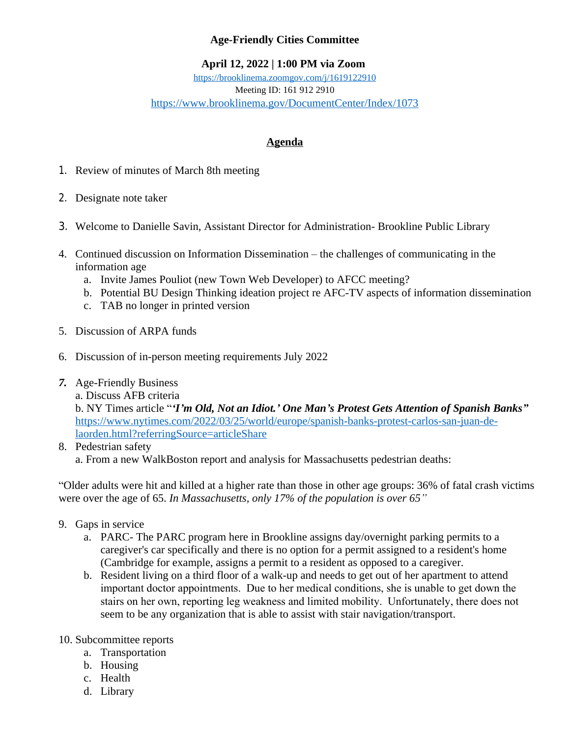## **Age-Friendly Cities Committee**

## **April 12, 2022 | 1:00 PM via Zoom**

<https://brooklinema.zoomgov.com/j/1619122910> Meeting ID: 161 912 2910 <https://www.brooklinema.gov/DocumentCenter/Index/1073>

## **Agenda**

- 1. Review of minutes of March 8th meeting
- 2. Designate note taker
- 3. Welcome to Danielle Savin, Assistant Director for Administration- Brookline Public Library
- 4. Continued discussion on Information Dissemination the challenges of communicating in the information age
	- a. Invite James Pouliot (new Town Web Developer) to AFCC meeting?
	- b. Potential BU Design Thinking ideation project re AFC-TV aspects of information dissemination
	- c. TAB no longer in printed version
- 5. Discussion of ARPA funds
- 6. Discussion of in-person meeting requirements July 2022
- *7.* Age-Friendly Business
	- a. Discuss AFB criteria

b. NY Times article "*'I'm Old, Not an Idiot.' One Man's Protest Gets Attention of Spanish Banks"* [https://www.nytimes.com/2022/03/25/world/europe/spanish-banks-protest-carlos-san-juan-de](https://www.nytimes.com/2022/03/25/world/europe/spanish-banks-protest-carlos-san-juan-de-laorden.html?referringSource=articleShare)laorden.html?referringSource=articleShare

8. Pedestrian safety a. From a new WalkBoston report and analysis for Massachusetts pedestrian deaths:

"Older adults were hit and killed at a higher rate than those in other age groups: 36% of fatal crash victims were over the age of 65. *In Massachusetts, only 17% of the population is over 65"*

- 9. Gaps in service
	- a. PARC- The PARC program here in Brookline assigns day/overnight parking permits to a caregiver's car specifically and there is no option for a permit assigned to a resident's home (Cambridge for example, assigns a permit to a resident as opposed to a caregiver.
	- b. Resident living on a third floor of a walk-up and needs to get out of her apartment to attend important doctor appointments. Due to her medical conditions, she is unable to get down the stairs on her own, reporting leg weakness and limited mobility. Unfortunately, there does not seem to be any organization that is able to assist with stair navigation/transport.
- 10. Subcommittee reports
	- a. Transportation
	- b. Housing
	- c. Health
	- d. Library